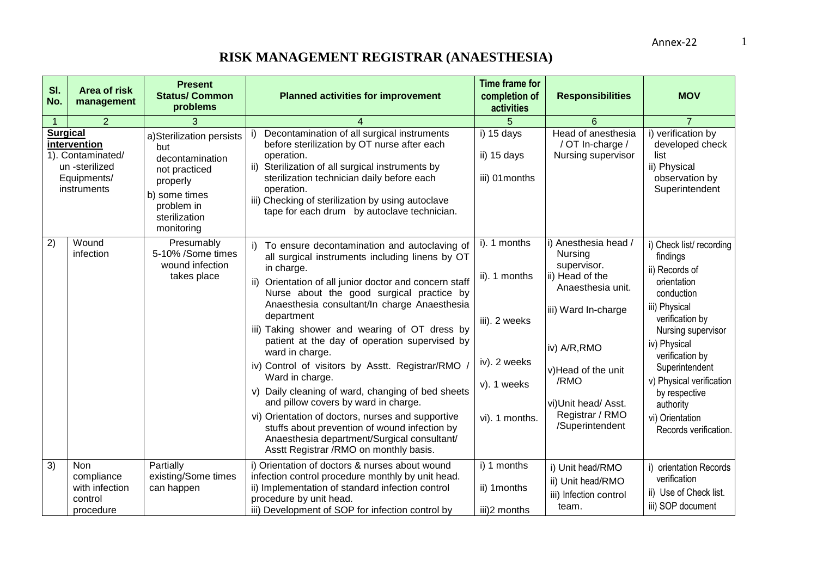1

| SI.<br>No.                                                                                           | <b>Area of risk</b><br>management                                  | <b>Present</b><br><b>Status/ Common</b><br>problems                                                                                           | <b>Planned activities for improvement</b>                                                                                                                                                                                                                                                                                                                                                                                                                                                                                                                                                                                                                                                                                                                                   | <b>Time frame for</b><br>completion of<br>activities                                            | <b>Responsibilities</b>                                                                                                                                                                                                  | <b>MOV</b>                                                                                                                                                                                                                                                                                              |
|------------------------------------------------------------------------------------------------------|--------------------------------------------------------------------|-----------------------------------------------------------------------------------------------------------------------------------------------|-----------------------------------------------------------------------------------------------------------------------------------------------------------------------------------------------------------------------------------------------------------------------------------------------------------------------------------------------------------------------------------------------------------------------------------------------------------------------------------------------------------------------------------------------------------------------------------------------------------------------------------------------------------------------------------------------------------------------------------------------------------------------------|-------------------------------------------------------------------------------------------------|--------------------------------------------------------------------------------------------------------------------------------------------------------------------------------------------------------------------------|---------------------------------------------------------------------------------------------------------------------------------------------------------------------------------------------------------------------------------------------------------------------------------------------------------|
|                                                                                                      | 2                                                                  | 3                                                                                                                                             | 4                                                                                                                                                                                                                                                                                                                                                                                                                                                                                                                                                                                                                                                                                                                                                                           | 5                                                                                               | 6                                                                                                                                                                                                                        | $\overline{7}$                                                                                                                                                                                                                                                                                          |
| <b>Surgical</b><br>intervention<br>1). Contaminated/<br>un -sterilized<br>Equipments/<br>instruments |                                                                    | a)Sterilization persists<br>but<br>decontamination<br>not practiced<br>properly<br>b) some times<br>problem in<br>sterilization<br>monitoring | Decontamination of all surgical instruments<br>before sterilization by OT nurse after each<br>operation.<br>ii) Sterilization of all surgical instruments by<br>sterilization technician daily before each<br>operation.<br>iii) Checking of sterilization by using autoclave<br>tape for each drum by autoclave technician.                                                                                                                                                                                                                                                                                                                                                                                                                                                | i) 15 days<br>ii) 15 days<br>iii) 01months                                                      | Head of anesthesia<br>/ OT In-charge /<br>Nursing supervisor                                                                                                                                                             | i) verification by<br>developed check<br>list<br>ii) Physical<br>observation by<br>Superintendent                                                                                                                                                                                                       |
| 2)                                                                                                   | Wound<br>infection                                                 | Presumably<br>5-10% /Some times<br>wound infection<br>takes place                                                                             | To ensure decontamination and autoclaving of<br>all surgical instruments including linens by OT<br>in charge.<br>ii) Orientation of all junior doctor and concern staff<br>Nurse about the good surgical practice by<br>Anaesthesia consultant/In charge Anaesthesia<br>department<br>iii) Taking shower and wearing of OT dress by<br>patient at the day of operation supervised by<br>ward in charge.<br>iv) Control of visitors by Asstt. Registrar/RMO /<br>Ward in charge.<br>v) Daily cleaning of ward, changing of bed sheets<br>and pillow covers by ward in charge.<br>vi) Orientation of doctors, nurses and supportive<br>stuffs about prevention of wound infection by<br>Anaesthesia department/Surgical consultant/<br>Asstt Registrar /RMO on monthly basis. | i). 1 months<br>ii). 1 months<br>iii). 2 weeks<br>iv). 2 weeks<br>v). 1 weeks<br>vi). 1 months. | i) Anesthesia head /<br>Nursing<br>supervisor.<br>ii) Head of the<br>Anaesthesia unit.<br>iii) Ward In-charge<br>iv) A/R, RMO<br>v)Head of the unit<br>/RMO<br>vi)Unit head/ Asst.<br>Registrar / RMO<br>/Superintendent | i) Check list/recording<br>findings<br>ii) Records of<br>orientation<br>conduction<br>iii) Physical<br>verification by<br>Nursing supervisor<br>iv) Physical<br>verification by<br>Superintendent<br>v) Physical verification<br>by respective<br>authority<br>vi) Orientation<br>Records verification. |
| 3)                                                                                                   | <b>Non</b><br>compliance<br>with infection<br>control<br>procedure | Partially<br>existing/Some times<br>can happen                                                                                                | i) Orientation of doctors & nurses about wound<br>infection control procedure monthly by unit head.<br>ii) Implementation of standard infection control<br>procedure by unit head.<br>iii) Development of SOP for infection control by                                                                                                                                                                                                                                                                                                                                                                                                                                                                                                                                      | i) 1 months<br>ii) 1 months<br>iii)2 months                                                     | i) Unit head/RMO<br>ii) Unit head/RMO<br>iii) Infection control<br>team.                                                                                                                                                 | i) orientation Records<br>verification<br>ii) Use of Check list.<br>iii) SOP document                                                                                                                                                                                                                   |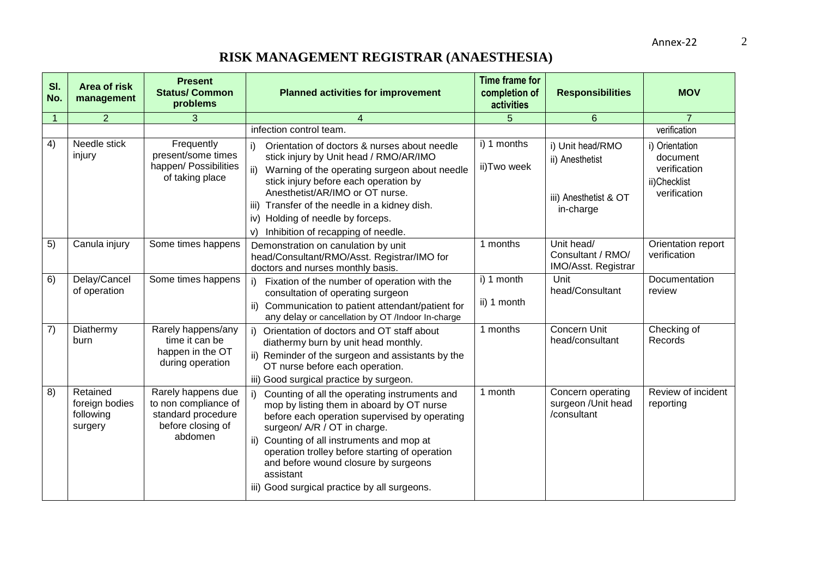| SI.<br>No.     | <b>Area of risk</b><br>management                  | <b>Present</b><br><b>Status/Common</b><br>problems                                               | <b>Planned activities for improvement</b>                                                                                                                                                                                                                                                                                                                                        | <b>Time frame for</b><br>completion of<br>activities | <b>Responsibilities</b>                                                   | <b>MOV</b>                                                                 |
|----------------|----------------------------------------------------|--------------------------------------------------------------------------------------------------|----------------------------------------------------------------------------------------------------------------------------------------------------------------------------------------------------------------------------------------------------------------------------------------------------------------------------------------------------------------------------------|------------------------------------------------------|---------------------------------------------------------------------------|----------------------------------------------------------------------------|
| $\overline{1}$ | $\overline{2}$                                     | 3                                                                                                | $\overline{4}$                                                                                                                                                                                                                                                                                                                                                                   | 5                                                    | 6                                                                         | $\overline{7}$                                                             |
|                |                                                    |                                                                                                  | infection control team.                                                                                                                                                                                                                                                                                                                                                          |                                                      |                                                                           | verification                                                               |
| 4)             | Needle stick<br>injury                             | Frequently<br>present/some times<br>happen/ Possibilities<br>of taking place                     | i)<br>Orientation of doctors & nurses about needle<br>stick injury by Unit head / RMO/AR/IMO<br>ii) Warning of the operating surgeon about needle<br>stick injury before each operation by<br>Anesthetist/AR/IMO or OT nurse.<br>Transfer of the needle in a kidney dish.<br>iii)<br>iv) Holding of needle by forceps.<br>Inhibition of recapping of needle.<br>V)               | i) 1 months<br>ii)Two week                           | i) Unit head/RMO<br>ii) Anesthetist<br>iii) Anesthetist & OT<br>in-charge | i) Orientation<br>document<br>verification<br>ii)Checklist<br>verification |
| 5)             | Canula injury                                      | Some times happens                                                                               | Demonstration on canulation by unit<br>head/Consultant/RMO/Asst. Registrar/IMO for<br>doctors and nurses monthly basis.                                                                                                                                                                                                                                                          | 1 months                                             | Unit head/<br>Consultant / RMO/<br>IMO/Asst. Registrar                    | Orientation report<br>verification                                         |
| 6)             | Delay/Cancel<br>of operation                       | Some times happens                                                                               | Fixation of the number of operation with the<br>i)<br>consultation of operating surgeon<br>ii) Communication to patient attendant/patient for<br>any delay or cancellation by OT /Indoor In-charge                                                                                                                                                                               | i) 1 month<br>ii) 1 month                            | Unit<br>head/Consultant                                                   | Documentation<br>review                                                    |
| 7)             | Diathermy<br>burn                                  | Rarely happens/any<br>time it can be<br>happen in the OT<br>during operation                     | i) Orientation of doctors and OT staff about<br>diathermy burn by unit head monthly.<br>ii) Reminder of the surgeon and assistants by the<br>OT nurse before each operation.<br>iii) Good surgical practice by surgeon.                                                                                                                                                          | 1 months                                             | Concern Unit<br>head/consultant                                           | Checking of<br>Records                                                     |
| 8)             | Retained<br>foreign bodies<br>following<br>surgery | Rarely happens due<br>to non compliance of<br>standard procedure<br>before closing of<br>abdomen | Counting of all the operating instruments and<br>mop by listing them in aboard by OT nurse<br>before each operation supervised by operating<br>surgeon/ A/R / OT in charge.<br>ii) Counting of all instruments and mop at<br>operation trolley before starting of operation<br>and before wound closure by surgeons<br>assistant<br>iii) Good surgical practice by all surgeons. | 1 month                                              | Concern operating<br>surgeon /Unit head<br>/consultant                    | Review of incident<br>reporting                                            |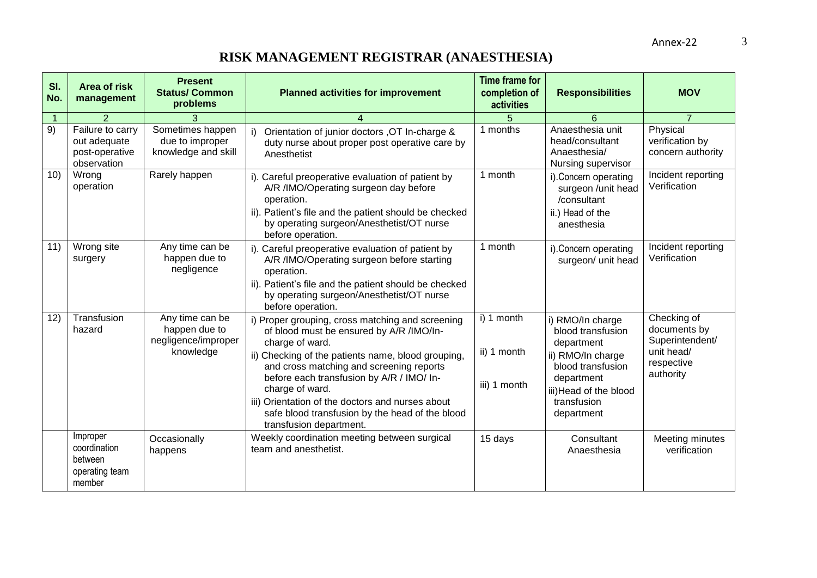| SI.<br>No.     | <b>Area of risk</b><br>management                                 | <b>Present</b><br><b>Status/ Common</b><br>problems                  | <b>Planned activities for improvement</b>                                                                                                                                                                                                                                                                                                                                                                           | <b>Time frame for</b><br>completion of<br>activities | <b>Responsibilities</b>                                                                                                                                            | <b>MOV</b>                                                                              |
|----------------|-------------------------------------------------------------------|----------------------------------------------------------------------|---------------------------------------------------------------------------------------------------------------------------------------------------------------------------------------------------------------------------------------------------------------------------------------------------------------------------------------------------------------------------------------------------------------------|------------------------------------------------------|--------------------------------------------------------------------------------------------------------------------------------------------------------------------|-----------------------------------------------------------------------------------------|
| $\overline{1}$ | $\overline{2}$                                                    | 3                                                                    | 4                                                                                                                                                                                                                                                                                                                                                                                                                   | 5                                                    | 6                                                                                                                                                                  | $\overline{7}$                                                                          |
| 9)             | Failure to carry<br>out adequate<br>post-operative<br>observation | Sometimes happen<br>due to improper<br>knowledge and skill           | Orientation of junior doctors , OT In-charge &<br>duty nurse about proper post operative care by<br>Anesthetist                                                                                                                                                                                                                                                                                                     | 1 months                                             | Anaesthesia unit<br>head/consultant<br>Anaesthesia/<br>Nursing supervisor                                                                                          | Physical<br>verification by<br>concern authority                                        |
| 10)            | Wrong<br>operation                                                | Rarely happen                                                        | i). Careful preoperative evaluation of patient by<br>A/R /IMO/Operating surgeon day before<br>operation.<br>ii). Patient's file and the patient should be checked<br>by operating surgeon/Anesthetist/OT nurse<br>before operation.                                                                                                                                                                                 | 1 month                                              | i). Concern operating<br>surgeon /unit head<br>/consultant<br>ii.) Head of the<br>anesthesia                                                                       | Incident reporting<br>Verification                                                      |
| 11)            | Wrong site<br>surgery                                             | Any time can be<br>happen due to<br>negligence                       | i). Careful preoperative evaluation of patient by<br>A/R /IMO/Operating surgeon before starting<br>operation.<br>ii). Patient's file and the patient should be checked<br>by operating surgeon/Anesthetist/OT nurse<br>before operation.                                                                                                                                                                            | 1 month                                              | i). Concern operating<br>surgeon/ unit head                                                                                                                        | Incident reporting<br>Verification                                                      |
| 12)            | Transfusion<br>hazard                                             | Any time can be<br>happen due to<br>negligence/improper<br>knowledge | i) Proper grouping, cross matching and screening<br>of blood must be ensured by A/R /IMO/In-<br>charge of ward.<br>ii) Checking of the patients name, blood grouping,<br>and cross matching and screening reports<br>before each transfusion by A/R / IMO/ In-<br>charge of ward.<br>iii) Orientation of the doctors and nurses about<br>safe blood transfusion by the head of the blood<br>transfusion department. | i) 1 month<br>ii) 1 month<br>iii) 1 month            | i) RMO/In charge<br>blood transfusion<br>department<br>ii) RMO/In charge<br>blood transfusion<br>department<br>iii) Head of the blood<br>transfusion<br>department | Checking of<br>documents by<br>Superintendent/<br>unit head/<br>respective<br>authority |
|                | Improper<br>coordination<br>between<br>operating team<br>member   | Occasionally<br>happens                                              | Weekly coordination meeting between surgical<br>team and anesthetist.                                                                                                                                                                                                                                                                                                                                               | 15 days                                              | Consultant<br>Anaesthesia                                                                                                                                          | Meeting minutes<br>verification                                                         |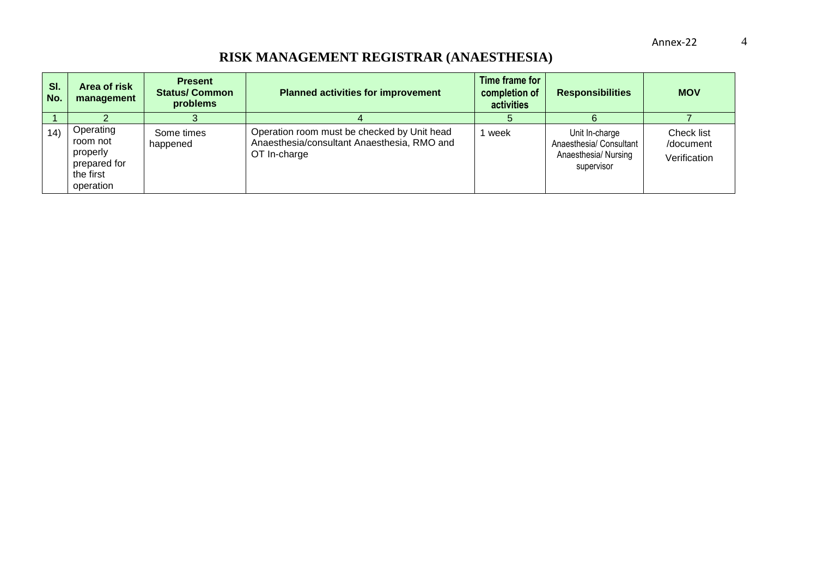| SI.<br>No. | Area of risk<br>management                                                  | <b>Present</b><br><b>Status/Common</b><br>problems | <b>Planned activities for improvement</b>                                                                  | Time frame for<br>completion of<br>activities | <b>Responsibilities</b>                                                         | <b>MOV</b>                              |
|------------|-----------------------------------------------------------------------------|----------------------------------------------------|------------------------------------------------------------------------------------------------------------|-----------------------------------------------|---------------------------------------------------------------------------------|-----------------------------------------|
| 14)        | Operating<br>room not<br>properly<br>prepared for<br>the first<br>operation | Some times<br>happened                             | Operation room must be checked by Unit head<br>Anaesthesia/consultant Anaesthesia, RMO and<br>OT In-charge | week                                          | Unit In-charge<br>Anaesthesia/ Consultant<br>Anaesthesia/ Nursing<br>supervisor | Check list<br>/document<br>Verification |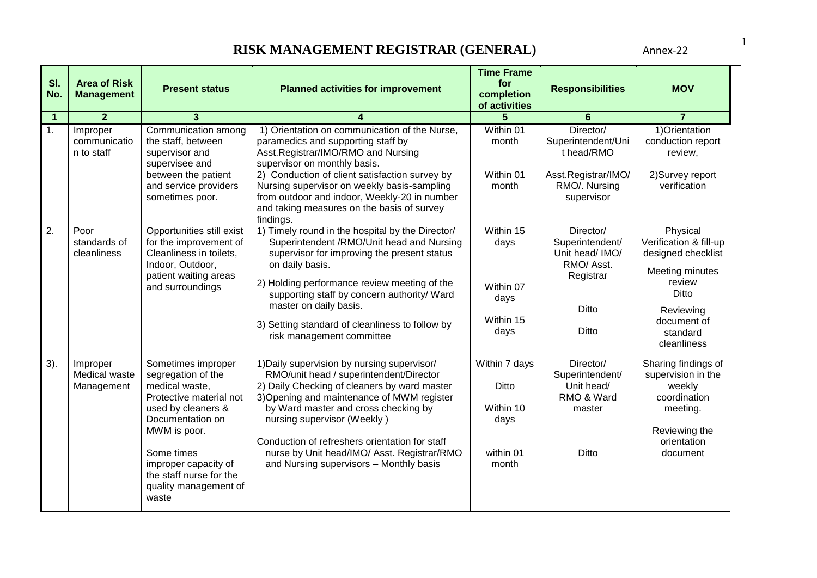| SI.<br>No.     | <b>Area of Risk</b><br><b>Management</b> | <b>Present status</b>                                                                                                                                                                                                                              | <b>Planned activities for improvement</b>                                                                                                                                                                                                                                                                                                                                                               | <b>Time Frame</b><br>for<br>completion<br>of activities           | <b>Responsibilities</b>                                                                             | <b>MOV</b>                                                                                                                                            |
|----------------|------------------------------------------|----------------------------------------------------------------------------------------------------------------------------------------------------------------------------------------------------------------------------------------------------|---------------------------------------------------------------------------------------------------------------------------------------------------------------------------------------------------------------------------------------------------------------------------------------------------------------------------------------------------------------------------------------------------------|-------------------------------------------------------------------|-----------------------------------------------------------------------------------------------------|-------------------------------------------------------------------------------------------------------------------------------------------------------|
| $\mathbf 1$    | $\overline{2}$                           | 3                                                                                                                                                                                                                                                  | 4                                                                                                                                                                                                                                                                                                                                                                                                       |                                                                   | 6                                                                                                   | $\overline{7}$                                                                                                                                        |
| $\mathbf{1}$ . | Improper<br>communicatio<br>n to staff   | Communication among<br>the staff, between<br>supervisor and<br>supervisee and<br>between the patient<br>and service providers<br>sometimes poor.                                                                                                   | 1) Orientation on communication of the Nurse,<br>paramedics and supporting staff by<br>Asst.Registrar/IMO/RMO and Nursing<br>supervisor on monthly basis.<br>2) Conduction of client satisfaction survey by<br>Nursing supervisor on weekly basis-sampling<br>from outdoor and indoor, Weekly-20 in number<br>and taking measures on the basis of survey<br>findings.                                   | Within 01<br>month<br>Within 01<br>month                          | Director/<br>Superintendent/Uni<br>t head/RMO<br>Asst.Registrar/IMO/<br>RMO/. Nursing<br>supervisor | 1) Orientation<br>conduction report<br>review,<br>2) Survey report<br>verification                                                                    |
| 2.             | Poor<br>standards of<br>cleanliness      | Opportunities still exist<br>for the improvement of<br>Cleanliness in toilets,<br>Indoor, Outdoor,<br>patient waiting areas<br>and surroundings                                                                                                    | 1) Timely round in the hospital by the Director/<br>Superintendent / RMO/Unit head and Nursing<br>supervisor for improving the present status<br>on daily basis.<br>2) Holding performance review meeting of the<br>supporting staff by concern authority/ Ward<br>master on daily basis.<br>3) Setting standard of cleanliness to follow by<br>risk management committee                               | Within 15<br>days<br>Within 07<br>days<br>Within 15<br>days       | Director/<br>Superintendent/<br>Unit head/ IMO/<br>RMO/Asst.<br>Registrar<br><b>Ditto</b><br>Ditto  | Physical<br>Verification & fill-up<br>designed checklist<br>Meeting minutes<br>review<br>Ditto<br>Reviewing<br>document of<br>standard<br>cleanliness |
| 3).            | Improper<br>Medical waste<br>Management  | Sometimes improper<br>segregation of the<br>medical waste,<br>Protective material not<br>used by cleaners &<br>Documentation on<br>MWM is poor.<br>Some times<br>improper capacity of<br>the staff nurse for the<br>quality management of<br>waste | 1) Daily supervision by nursing supervisor/<br>RMO/unit head / superintendent/Director<br>2) Daily Checking of cleaners by ward master<br>3) Opening and maintenance of MWM register<br>by Ward master and cross checking by<br>nursing supervisor (Weekly)<br>Conduction of refreshers orientation for staff<br>nurse by Unit head/IMO/ Asst. Registrar/RMO<br>and Nursing supervisors - Monthly basis | Within 7 days<br>Ditto<br>Within 10<br>days<br>within 01<br>month | Director/<br>Superintendent/<br>Unit head/<br>RMO & Ward<br>master<br><b>Ditto</b>                  | Sharing findings of<br>supervision in the<br>weekly<br>coordination<br>meeting.<br>Reviewing the<br>orientation<br>document                           |

1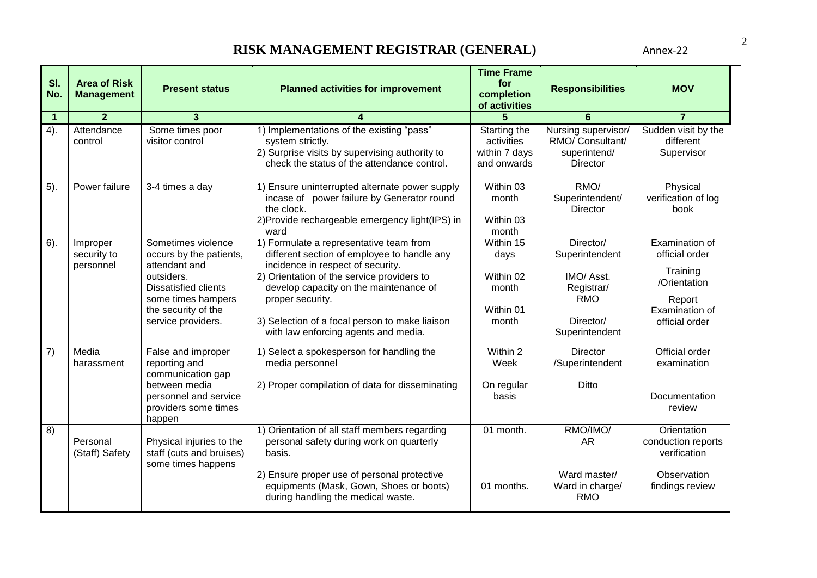| SI.<br>No.     | <b>Area of Risk</b><br><b>Management</b> | <b>Present status</b>                                                                                                                                                          | <b>Planned activities for improvement</b>                                                                                                                                                                                                                                                                                         | <b>Time Frame</b><br>for<br>completion<br>of activities       | <b>Responsibilities</b>                                                                              | <b>MOV</b>                                                                                                 |
|----------------|------------------------------------------|--------------------------------------------------------------------------------------------------------------------------------------------------------------------------------|-----------------------------------------------------------------------------------------------------------------------------------------------------------------------------------------------------------------------------------------------------------------------------------------------------------------------------------|---------------------------------------------------------------|------------------------------------------------------------------------------------------------------|------------------------------------------------------------------------------------------------------------|
| $\overline{1}$ | $\overline{2}$                           | 3                                                                                                                                                                              |                                                                                                                                                                                                                                                                                                                                   |                                                               | 6                                                                                                    | $\overline{7}$                                                                                             |
| 4).            | Attendance<br>control                    | Some times poor<br>visitor control                                                                                                                                             | 1) Implementations of the existing "pass"<br>system strictly.<br>2) Surprise visits by supervising authority to<br>check the status of the attendance control.                                                                                                                                                                    | Starting the<br>activities<br>within 7 days<br>and onwards    | Nursing supervisor/<br>RMO/ Consultant/<br>superintend/<br>Director                                  | Sudden visit by the<br>different<br>Supervisor                                                             |
| 5).            | Power failure                            | 3-4 times a day                                                                                                                                                                | 1) Ensure uninterrupted alternate power supply<br>incase of power failure by Generator round<br>the clock.<br>2) Provide rechargeable emergency light (IPS) in<br>ward                                                                                                                                                            | Within 03<br>month<br>Within 03<br>month                      | RMO/<br>Superintendent/<br><b>Director</b>                                                           | Physical<br>verification of log<br>book                                                                    |
| $6$ ).         | Improper<br>security to<br>personnel     | Sometimes violence<br>occurs by the patients,<br>attendant and<br>outsiders.<br><b>Dissatisfied clients</b><br>some times hampers<br>the security of the<br>service providers. | 1) Formulate a representative team from<br>different section of employee to handle any<br>incidence in respect of security.<br>2) Orientation of the service providers to<br>develop capacity on the maintenance of<br>proper security.<br>3) Selection of a focal person to make liaison<br>with law enforcing agents and media. | Within 15<br>days<br>Within 02<br>month<br>Within 01<br>month | Director/<br>Superintendent<br>IMO/ Asst.<br>Registrar/<br><b>RMO</b><br>Director/<br>Superintendent | Examination of<br>official order<br>Training<br>/Orientation<br>Report<br>Examination of<br>official order |
| 7)             | Media<br>harassment                      | False and improper<br>reporting and<br>communication gap<br>between media<br>personnel and service<br>providers some times<br>happen                                           | 1) Select a spokesperson for handling the<br>media personnel<br>2) Proper compilation of data for disseminating                                                                                                                                                                                                                   | Within 2<br>Week<br>On regular<br>basis                       | <b>Director</b><br>/Superintendent<br><b>Ditto</b>                                                   | Official order<br>examination<br>Documentation<br>review                                                   |
| 8)             | Personal<br>(Staff) Safety               | Physical injuries to the<br>staff (cuts and bruises)<br>some times happens                                                                                                     | 1) Orientation of all staff members regarding<br>personal safety during work on quarterly<br>basis.<br>2) Ensure proper use of personal protective<br>equipments (Mask, Gown, Shoes or boots)<br>during handling the medical waste.                                                                                               | 01 month.<br>01 months.                                       | RMO/IMO/<br><b>AR</b><br>Ward master/<br>Ward in charge/<br><b>RMO</b>                               | Orientation<br>conduction reports<br>verification<br>Observation<br>findings review                        |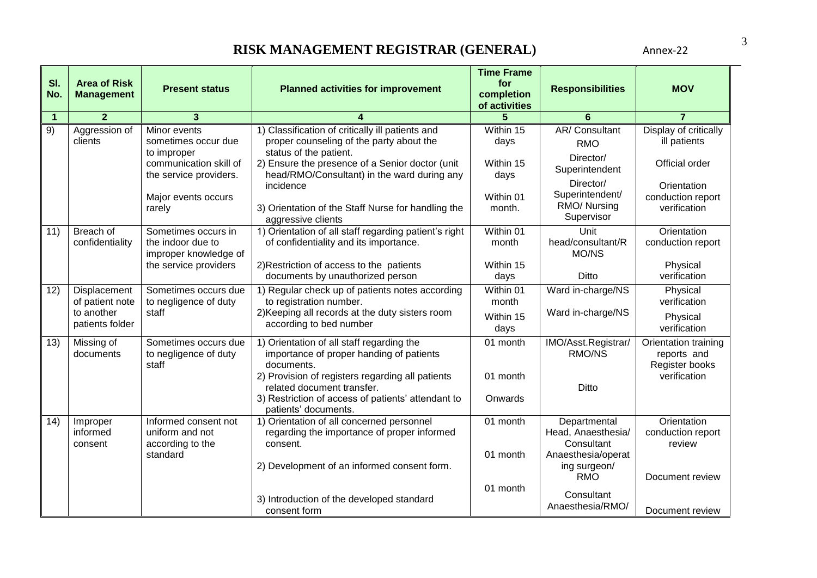| SI.<br>No.           | <b>Area of Risk</b><br><b>Management</b> | <b>Present status</b>                                             | <b>Planned activities for improvement</b>                                                                              | <b>Time Frame</b><br>for<br>completion<br>of activities | <b>Responsibilities</b>                          | <b>MOV</b>                                            |
|----------------------|------------------------------------------|-------------------------------------------------------------------|------------------------------------------------------------------------------------------------------------------------|---------------------------------------------------------|--------------------------------------------------|-------------------------------------------------------|
| $\blacktriangleleft$ | $\overline{2}$                           | 3                                                                 |                                                                                                                        |                                                         | 6                                                | $\overline{7}$                                        |
| 9)                   | Aggression of<br>clients                 | Minor events<br>sometimes occur due<br>to improper                | 1) Classification of critically ill patients and<br>proper counseling of the party about the<br>status of the patient. | Within 15<br>days                                       | AR/Consultant<br><b>RMO</b><br>Director/         | Display of critically<br>ill patients                 |
|                      |                                          | communication skill of<br>the service providers.                  | 2) Ensure the presence of a Senior doctor (unit<br>head/RMO/Consultant) in the ward during any                         | Within 15<br>days                                       | Superintendent<br>Director/                      | Official order                                        |
|                      |                                          | Major events occurs<br>rarely                                     | incidence<br>3) Orientation of the Staff Nurse for handling the<br>aggressive clients                                  | Within 01<br>month.                                     | Superintendent/<br>RMO/ Nursing<br>Supervisor    | Orientation<br>conduction report<br>verification      |
| 11)                  | Breach of<br>confidentiality             | Sometimes occurs in<br>the indoor due to<br>improper knowledge of | 1) Orientation of all staff regarding patient's right<br>of confidentiality and its importance.                        | Within 01<br>month                                      | Unit<br>head/consultant/R<br>MO/NS               | Orientation<br>conduction report                      |
|                      |                                          | the service providers                                             | 2) Restriction of access to the patients<br>documents by unauthorized person                                           | Within 15<br>days                                       | Ditto                                            | Physical<br>verification                              |
| 12)                  | Displacement<br>of patient note          | Sometimes occurs due<br>to negligence of duty                     | 1) Regular check up of patients notes according<br>to registration number.                                             | Within 01<br>month                                      | Ward in-charge/NS                                | Physical<br>verification                              |
|                      | to another<br>patients folder            | staff                                                             | 2) Keeping all records at the duty sisters room<br>according to bed number                                             | Within 15<br>days                                       | Ward in-charge/NS                                | Physical<br>verification                              |
| 13)                  | Missing of<br>documents                  | Sometimes occurs due<br>to negligence of duty<br>staff            | 1) Orientation of all staff regarding the<br>importance of proper handing of patients<br>documents.                    | 01 month                                                | IMO/Asst.Registrar/<br>RMO/NS                    | Orientation training<br>reports and<br>Register books |
|                      |                                          |                                                                   | 2) Provision of registers regarding all patients<br>related document transfer.                                         | 01 month                                                | <b>Ditto</b>                                     | verification                                          |
|                      |                                          |                                                                   | 3) Restriction of access of patients' attendant to<br>patients' documents.                                             | Onwards                                                 |                                                  |                                                       |
| (14)                 | Improper<br>informed<br>consent          | Informed consent not<br>uniform and not<br>according to the       | 1) Orientation of all concerned personnel<br>regarding the importance of proper informed<br>consent.                   | 01 month                                                | Departmental<br>Head, Anaesthesia/<br>Consultant | Orientation<br>conduction report<br>review            |
|                      |                                          | standard                                                          | 2) Development of an informed consent form.                                                                            | 01 month                                                | Anaesthesia/operat<br>ing surgeon/<br><b>RMO</b> | Document review                                       |
|                      |                                          |                                                                   | 3) Introduction of the developed standard<br>consent form                                                              | 01 month                                                | Consultant<br>Anaesthesia/RMO/                   | Document review                                       |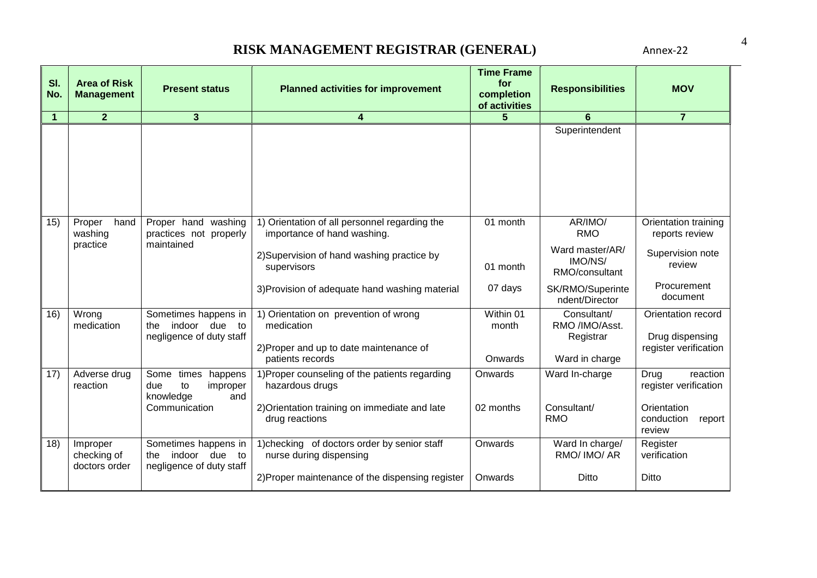| SI.<br>No.     | <b>Area of Risk</b><br><b>Management</b> | <b>Present status</b>                                                       | <b>Planned activities for improvement</b>                                    | <b>Time Frame</b><br>for<br>completion<br>of activities | <b>Responsibilities</b>                      | <b>MOV</b>                                    |
|----------------|------------------------------------------|-----------------------------------------------------------------------------|------------------------------------------------------------------------------|---------------------------------------------------------|----------------------------------------------|-----------------------------------------------|
| $\overline{1}$ | 2 <sup>2</sup>                           | 3                                                                           | 4                                                                            | 5                                                       | 6                                            | $\overline{7}$                                |
|                |                                          |                                                                             |                                                                              |                                                         | Superintendent                               |                                               |
| 15)            | hand<br>Proper<br>washing                | Proper hand washing<br>practices not properly                               | 1) Orientation of all personnel regarding the<br>importance of hand washing. | 01 month                                                | AR/IMO/<br><b>RMO</b>                        | Orientation training<br>reports review        |
|                | practice                                 | maintained                                                                  | 2) Supervision of hand washing practice by<br>supervisors                    | 01 month                                                | Ward master/AR/<br>IMO/NS/<br>RMO/consultant | Supervision note<br>review                    |
|                |                                          |                                                                             | 3) Provision of adequate hand washing material                               | 07 days                                                 | SK/RMO/Superinte<br>ndent/Director           | Procurement<br>document                       |
| 16)            | Wrong<br>medication                      | Sometimes happens in<br>indoor due<br>the<br>to<br>negligence of duty staff | 1) Orientation on prevention of wrong<br>medication                          | Within 01<br>month                                      | Consultant/<br>RMO /IMO/Asst.<br>Registrar   | Orientation record<br>Drug dispensing         |
|                |                                          |                                                                             | 2) Proper and up to date maintenance of<br>patients records                  | Onwards                                                 | Ward in charge                               | register verification                         |
| 17)            | Adverse drug<br>reaction                 | Some times happens<br>to<br>due<br>improper<br>knowledge<br>and             | 1) Proper counseling of the patients regarding<br>hazardous drugs            | Onwards                                                 | Ward In-charge                               | Drug<br>reaction<br>register verification     |
|                |                                          | Communication                                                               | 2) Orientation training on immediate and late<br>drug reactions              | 02 months                                               | Consultant/<br><b>RMO</b>                    | Orientation<br>conduction<br>report<br>review |
| 18)            | Improper<br>checking of<br>doctors order | Sometimes happens in<br>indoor due to<br>the<br>negligence of duty staff    | 1) checking of doctors order by senior staff<br>nurse during dispensing      | Onwards                                                 | Ward In charge/<br>RMO/ IMO/ AR              | Register<br>verification                      |
|                |                                          |                                                                             | 2) Proper maintenance of the dispensing register                             | Onwards                                                 | Ditto                                        | Ditto                                         |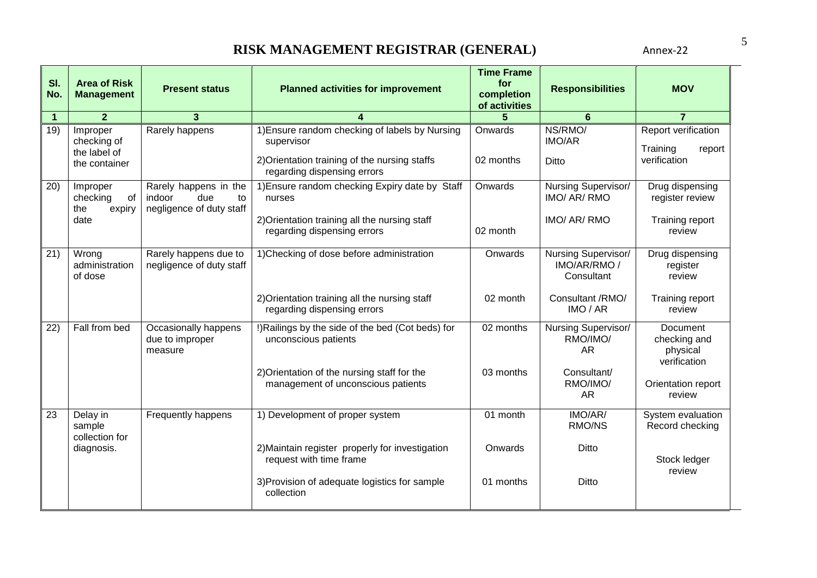| SI.<br>No.  | <b>Area of Risk</b><br><b>Management</b>                 | <b>Present status</b>                                                    | <b>Planned activities for improvement</b>                                                                                                                                    | <b>Time Frame</b><br>for<br>completion<br>of activities | <b>Responsibilities</b>                                                        | <b>MOV</b>                                                                           |
|-------------|----------------------------------------------------------|--------------------------------------------------------------------------|------------------------------------------------------------------------------------------------------------------------------------------------------------------------------|---------------------------------------------------------|--------------------------------------------------------------------------------|--------------------------------------------------------------------------------------|
| $\mathbf 1$ | $\overline{2}$                                           | 3                                                                        |                                                                                                                                                                              |                                                         | 6                                                                              | $\overline{7}$                                                                       |
| 19)         | Improper<br>checking of<br>the label of<br>the container | Rarely happens                                                           | 1) Ensure random checking of labels by Nursing<br>supervisor<br>2) Orientation training of the nursing staffs<br>regarding dispensing errors                                 | Onwards<br>02 months                                    | NS/RMO/<br><b>IMO/AR</b><br><b>Ditto</b>                                       | Report verification<br>Training<br>report<br>verification                            |
| 20)         | Improper<br>checking<br>of<br>the<br>expiry<br>date      | Rarely happens in the<br>due<br>indoor<br>to<br>negligence of duty staff | 1) Ensure random checking Expiry date by Staff<br>nurses<br>2) Orientation training all the nursing staff<br>regarding dispensing errors                                     | Onwards<br>02 month                                     | Nursing Supervisor/<br>IMO/ AR/ RMO<br>IMO/ AR/ RMO                            | Drug dispensing<br>register review<br>Training report<br>review                      |
| 21)         | Wrong<br>administration<br>of dose                       | Rarely happens due to<br>negligence of duty staff                        | 1) Checking of dose before administration<br>2) Orientation training all the nursing staff<br>regarding dispensing errors                                                    | Onwards<br>02 month                                     | Nursing Supervisor/<br>IMO/AR/RMO/<br>Consultant<br>Consultant /RMO/<br>IMO/AR | Drug dispensing<br>register<br>review<br>Training report<br>review                   |
| 22)         | Fall from bed                                            | Occasionally happens<br>due to improper<br>measure                       | !) Railings by the side of the bed (Cot beds) for<br>unconscious patients<br>2) Orientation of the nursing staff for the<br>management of unconscious patients               | 02 months<br>03 months                                  | Nursing Supervisor/<br>RMO/IMO/<br><b>AR</b><br>Consultant/<br>RMO/IMO/<br>AR  | Document<br>checking and<br>physical<br>verification<br>Orientation report<br>review |
| 23          | Delay in<br>sample<br>collection for<br>diagnosis.       | Frequently happens                                                       | 1) Development of proper system<br>2) Maintain register properly for investigation<br>request with time frame<br>3) Provision of adequate logistics for sample<br>collection | 01 month<br>Onwards<br>01 months                        | IMO/AR/<br>RMO/NS<br>Ditto<br>Ditto                                            | System evaluation<br>Record checking<br>Stock ledger<br>review                       |